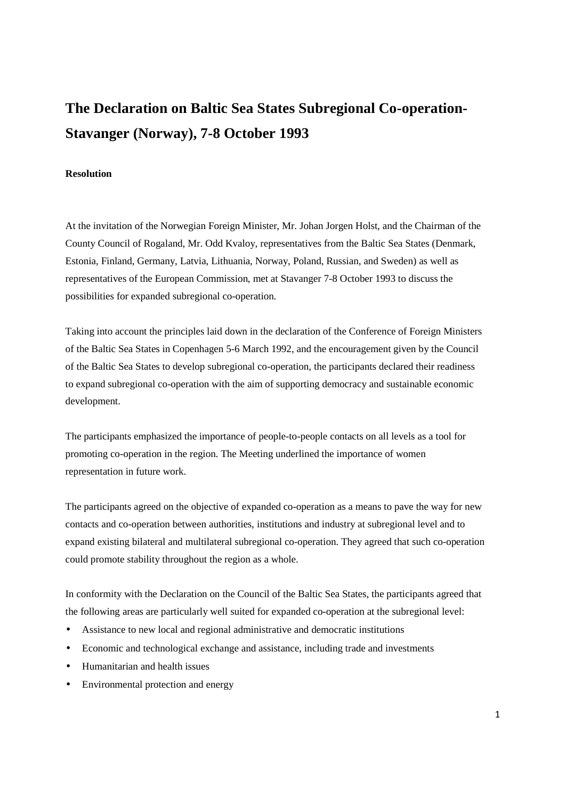## **The Declaration on Baltic Sea States Subregional Co-operation-Stavanger (Norway), 7-8 October 1993**

## **Resolution**

At the invitation of the Norwegian Foreign Minister, Mr. Johan Jorgen Holst, and the Chairman of the County Council of Rogaland, Mr. Odd Kvaloy, representatives from the Baltic Sea States (Denmark, Estonia, Finland, Germany, Latvia, Lithuania, Norway, Poland, Russian, and Sweden) as well as representatives of the European Commission, met at Stavanger 7-8 October 1993 to discuss the possibilities for expanded subregional co-operation.

Taking into account the principles laid down in the declaration of the Conference of Foreign Ministers of the Baltic Sea States in Copenhagen 5-6 March 1992, and the encouragement given by the Council of the Baltic Sea States to develop subregional co-operation, the participants declared their readiness to expand subregional co-operation with the aim of supporting democracy and sustainable economic development.

The participants emphasized the importance of people-to-people contacts on all levels as a tool for promoting co-operation in the region. The Meeting underlined the importance of women representation in future work.

The participants agreed on the objective of expanded co-operation as a means to pave the way for new contacts and co-operation between authorities, institutions and industry at subregional level and to expand existing bilateral and multilateral subregional co-operation. They agreed that such co-operation could promote stability throughout the region as a whole.

In conformity with the Declaration on the Council of the Baltic Sea States, the participants agreed that the following areas are particularly well suited for expanded co-operation at the subregional level:

- Assistance to new local and regional administrative and democratic institutions
- Economic and technological exchange and assistance, including trade and investments
- Humanitarian and health issues
- Environmental protection and energy